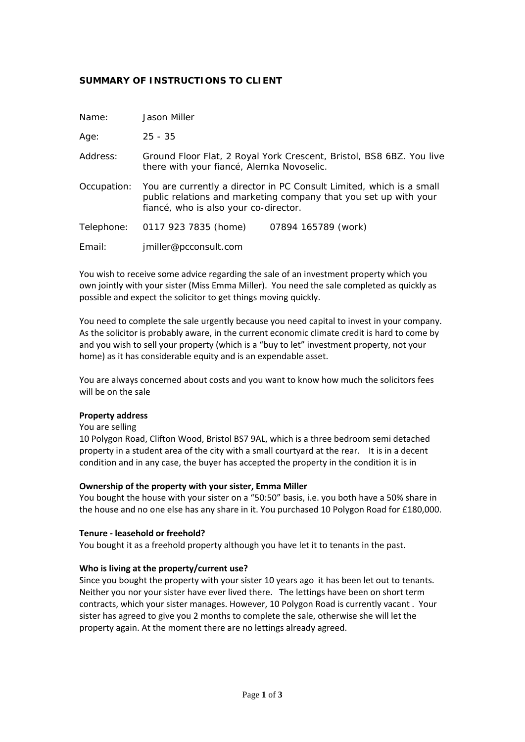# **SUMMARY OF INSTRUCTIONS TO CLIENT**

| Name:       | Jason Miller                                                                                                                                                                      |                     |
|-------------|-----------------------------------------------------------------------------------------------------------------------------------------------------------------------------------|---------------------|
| Age:        | $25 - 35$                                                                                                                                                                         |                     |
| Address:    | Ground Floor Flat, 2 Royal York Crescent, Bristol, BS8 6BZ. You live<br>there with your fiancé, Alemka Novoselic.                                                                 |                     |
| Occupation: | You are currently a director in PC Consult Limited, which is a small<br>public relations and marketing company that you set up with your<br>fiancé, who is also your co-director. |                     |
| Telephone:  | 0117 923 7835 (home)                                                                                                                                                              | 07894 165789 (work) |
| Email:      | jmiller@pcconsult.com                                                                                                                                                             |                     |

You wish to receive some advice regarding the sale of an investment property which you own jointly with your sister (Miss Emma Miller). You need the sale completed as quickly as possible and expect the solicitor to get things moving quickly.

You need to complete the sale urgently because you need capital to invest in your company. As the solicitor is probably aware, in the current economic climate credit is hard to come by and you wish to sell your property (which is a "buy to let" investment property, not your home) as it has considerable equity and is an expendable asset.

You are always concerned about costs and you want to know how much the solicitors fees will be on the sale

#### **Property address**

#### You are selling

10 Polygon Road, Clifton Wood, Bristol BS7 9AL, which is a three bedroom semi detached property in a student area of the city with a small courtyard at the rear. It is in a decent condition and in any case, the buyer has accepted the property in the condition it is in

## **Ownership of the property with your sister, Emma Miller**

You bought the house with your sister on a "50:50" basis, i.e. you both have a 50% share in the house and no one else has any share in it. You purchased 10 Polygon Road for £180,000.

#### **Tenure ‐ leasehold or freehold?**

You bought it as a freehold property although you have let it to tenants in the past.

## **Who is living at the property/current use?**

Since you bought the property with your sister 10 years ago it has been let out to tenants. Neither you nor your sister have ever lived there. The lettings have been on short term contracts, which your sister manages. However, 10 Polygon Road is currently vacant . Your sister has agreed to give you 2 months to complete the sale, otherwise she will let the property again. At the moment there are no lettings already agreed.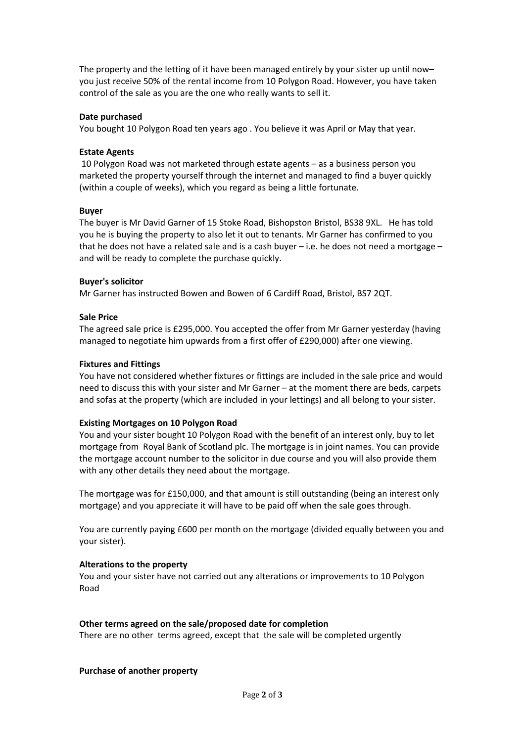The property and the letting of it have been managed entirely by your sister up until now– you just receive 50% of the rental income from 10 Polygon Road. However, you have taken control of the sale as you are the one who really wants to sell it.

## **Date purchased**

You bought 10 Polygon Road ten years ago . You believe it was April or May that year.

## **Estate Agents**

10 Polygon Road was not marketed through estate agents – as a business person you marketed the property yourself through the internet and managed to find a buyer quickly (within a couple of weeks), which you regard as being a little fortunate.

## **Buyer**

The buyer is Mr David Garner of 15 Stoke Road, Bishopston Bristol, BS38 9XL. He has told you he is buying the property to also let it out to tenants. Mr Garner has confirmed to you that he does not have a related sale and is a cash buyer  $-$  i.e. he does not need a mortgage  $$ and will be ready to complete the purchase quickly.

# **Buyer's solicitor**

Mr Garner has instructed Bowen and Bowen of 6 Cardiff Road, Bristol, BS7 2QT.

# **Sale Price**

The agreed sale price is £295,000. You accepted the offer from Mr Garner yesterday (having managed to negotiate him upwards from a first offer of £290,000) after one viewing.

# **Fixtures and Fittings**

You have not considered whether fixtures or fittings are included in the sale price and would need to discuss this with your sister and Mr Garner – at the moment there are beds, carpets and sofas at the property (which are included in your lettings) and all belong to your sister.

## **Existing Mortgages on 10 Polygon Road**

You and your sister bought 10 Polygon Road with the benefit of an interest only, buy to let mortgage from Royal Bank of Scotland plc. The mortgage is in joint names. You can provide the mortgage account number to the solicitor in due course and you will also provide them with any other details they need about the mortgage.

The mortgage was for £150,000, and that amount is still outstanding (being an interest only mortgage) and you appreciate it will have to be paid off when the sale goes through.

You are currently paying £600 per month on the mortgage (divided equally between you and your sister).

## **Alterations to the property**

You and your sister have not carried out any alterations or improvements to 10 Polygon Road

## **Other terms agreed on the sale/proposed date for completion**

There are no other terms agreed, except that the sale will be completed urgently

## **Purchase of another property**